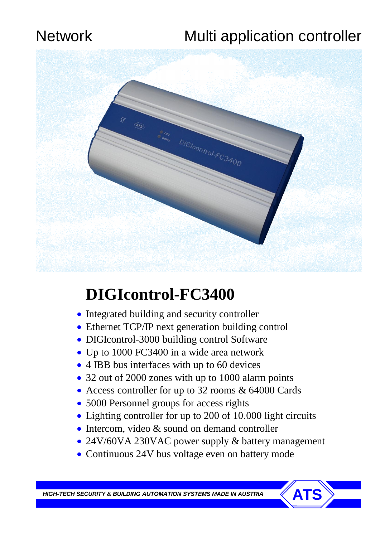# Network Multi application controller



# **DIGIcontrol-FC3400**

- Integrated building and security controller
- Ethernet TCP/IP next generation building control
- DIGIcontrol-3000 building control Software
- Up to 1000 FC3400 in a wide area network
- 4 IBB bus interfaces with up to 60 devices
- 32 out of 2000 zones with up to 1000 alarm points
- Access controller for up to 32 rooms & 64000 Cards
- 5000 Personnel groups for access rights
- Lighting controller for up to 200 of 10.000 light circuits
- Intercom, video & sound on demand controller
- 24V/60VA 230VAC power supply & battery management
- Continuous 24V bus voltage even on battery mode